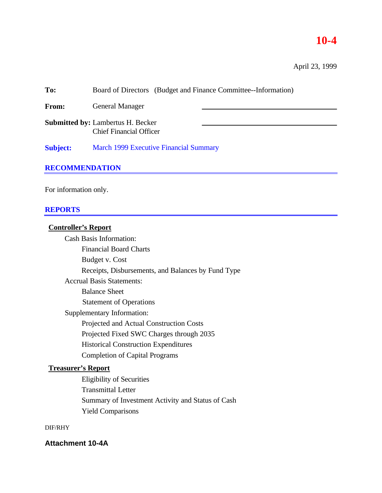## **10-4**

April 23, 1999

| <b>RECOMMENDATION</b>                                                      |                                                                |  |  |  |  |  |
|----------------------------------------------------------------------------|----------------------------------------------------------------|--|--|--|--|--|
| <b>Subject:</b><br><b>March 1999 Executive Financial Summary</b>           |                                                                |  |  |  |  |  |
| <b>Submitted by: Lambertus H. Becker</b><br><b>Chief Financial Officer</b> |                                                                |  |  |  |  |  |
| From:                                                                      | <b>General Manager</b>                                         |  |  |  |  |  |
| To:                                                                        | Board of Directors (Budget and Finance Committee--Information) |  |  |  |  |  |

For information only.

### **REPORTS**

### **Controller's Report**

Cash Basis Information: Financial Board Charts Budget v. Cost Receipts, Disbursements, and Balances by Fund Type Accrual Basis Statements: Balance Sheet Statement of Operations Supplementary Information: Projected and Actual Construction Costs Projected Fixed SWC Charges through 2035 Historical Construction Expenditures Completion of Capital Programs

## **Treasurer's Report**

Eligibility of Securities Transmittal Letter Summary of Investment Activity and Status of Cash Yield Comparisons

DIF/RHY

**Attachment 10-4A**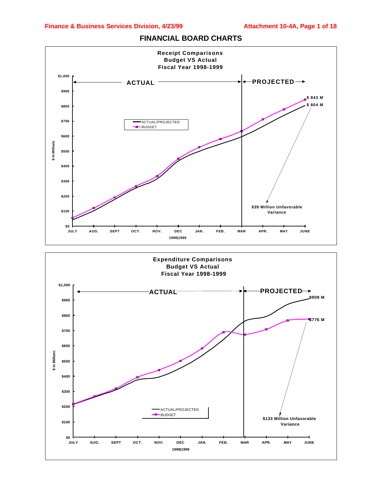

## **FINANCIAL BOARD CHARTS**

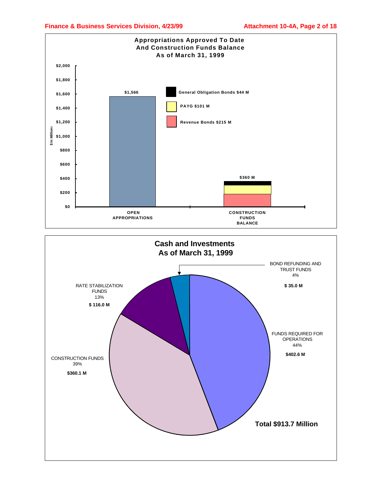

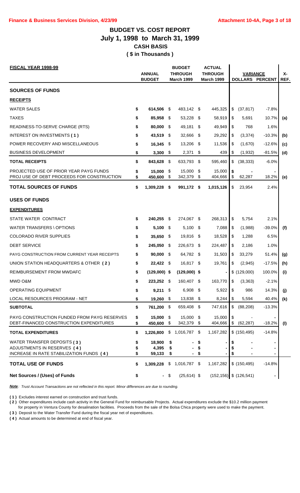## **BUDGET VS. COST REPORT July 1, 1998 to March 31, 1999 CASH BASIS ( \$ in Thousands )**

| <b>FISCAL YEAR 1998-99</b>                                                                             |          |                                |                  | <b>BUDGET</b>                       |          | <b>ACTUAL</b>                       |          |                 |                        |            |
|--------------------------------------------------------------------------------------------------------|----------|--------------------------------|------------------|-------------------------------------|----------|-------------------------------------|----------|-----------------|------------------------|------------|
|                                                                                                        |          | <b>ANNUAL</b><br><b>BUDGET</b> |                  | <b>THROUGH</b><br><b>March 1999</b> |          | <b>THROUGH</b><br><b>March 1999</b> |          | <b>VARIANCE</b> | <b>DOLLARS PERCENT</b> | х-<br>REF. |
| <b>SOURCES OF FUNDS</b>                                                                                |          |                                |                  |                                     |          |                                     |          |                 |                        |            |
| <b>RECEIPTS</b>                                                                                        |          |                                |                  |                                     |          |                                     |          |                 |                        |            |
| <b>WATER SALES</b>                                                                                     | \$       | 614,506 \$                     |                  | 483,142 \$                          |          | 445,325                             | \$       | (37, 817)       | $-7.8%$                |            |
| <b>TAXES</b>                                                                                           | \$       | 85,958 \$                      |                  | 53,228 \$                           |          | 58,919                              | \$       | 5,691           | 10.7%                  | (a)        |
| READINESS-TO-SERVE CHARGE (RTS)                                                                        |          | 80,000 \$                      |                  | 49,181                              | \$       | 49,949                              | \$       | 768             | 1.6%                   |            |
| INTEREST ON INVESTMENTS (1)                                                                            |          | 43,519 \$                      |                  | 32,666                              | S.       | 29,292                              | \$       | (3,374)         | $-10.3%$               | (b)        |
| POWER RECOVERY AND MISCELLANEOUS                                                                       |          | $16,345$ \$                    |                  | 13,206                              | S.       | 11,536                              | \$       | (1,670)         | $-12.6%$               | (c)        |
| <b>BUSINESS DEVELOPMENT</b>                                                                            | \$       | 3,300                          | \$               | 2,371                               | \$       | 439                                 | \$       | (1,932)         | $-81.5%$               | (d)        |
| <b>TOTAL RECEIPTS</b>                                                                                  | \$       | 843,628                        | - \$             | 633,793                             | S.       | 595,460                             | \$       | (38, 333)       | $-6.0%$                |            |
| PROJECTED USE OF PRIOR YEAR PAYG FUNDS<br>PROJ USE OF DEBT PROCEEDS FOR CONSTRUCTION                   | \$       | 15,000<br>450,600              | \$<br>\$         | 15,000<br>342,379                   | \$<br>\$ | 15,000<br>404,666                   | \$<br>\$ | 62,287          | 18.2%                  | (e)        |
| <b>TOTAL SOURCES OF FUNDS</b>                                                                          | \$       | 1,309,228 \$                   |                  | 991,172 \$                          |          | 1,015,126                           | \$       | 23,954          | 2.4%                   |            |
| <b>USES OF FUNDS</b>                                                                                   |          |                                |                  |                                     |          |                                     |          |                 |                        |            |
| <b>EXPENDITURES</b>                                                                                    |          |                                |                  |                                     |          |                                     |          |                 |                        |            |
| STATE WATER CONTRACT                                                                                   | \$       | 240,255 \$                     |                  | 274,067 \$                          |          | 268,313                             | \$       | 5,754           | 2.1%                   |            |
| <b>WATER TRANSFERS \ OPTIONS</b>                                                                       | S        | $5,100$ \$                     |                  | $5,100$ \$                          |          | 7,088                               | \$       | (1,988)         | $-39.0%$               | (f)        |
| <b>COLORADO RIVER SUPPLIES</b>                                                                         | S        | 35,650 $$$                     |                  | 19,816 \$                           |          | 18,528                              | \$       | 1,288           | 6.5%                   |            |
| <b>DEBT SERVICE</b>                                                                                    | S        | 245,050 \$                     |                  | 226,673 \$                          |          | 224,487                             | \$       | 2,186           | 1.0%                   |            |
| PAYG CONSTRUCTION FROM CURRENT YEAR RECEIPTS                                                           | S        | $90,000$ \$                    |                  | 64,782 \$                           |          | 31,503                              | \$       | 33,279          | 51.4%                  | (g)        |
| UNION STATION HEADQUARTERS & OTHER (2)                                                                 | \$       | $22,422$ \$                    |                  | 16,817 \$                           |          | 19,761                              | \$       | (2, 945)        | $-17.5%$               | (h)        |
| REIMBURSEMENT FROM MWDAFC                                                                              | S        | $(129,000)$ \$                 |                  | $(129,000)$ \$                      |          |                                     |          | \$(129,000)     | 100.0%                 | (i)        |
| MWD O&M                                                                                                | S        | 223,252 \$                     |                  | 160,407 \$                          |          | 163,770 \$                          |          | (3, 363)        | $-2.1%$                |            |
| OPERATING EQUIPMENT                                                                                    |          | $9,211$ \$                     |                  | $6,908$ \$                          |          | $5,922$ \$                          |          | 986             | 14.3%                  | (i)        |
| LOCAL RESOURCES PROGRAM - NET                                                                          | \$       | 19,260 \$                      |                  | 13,838 \$                           |          |                                     |          | 5,594           | 40.4%                  | (k)        |
| <b>SUBTOTAL</b>                                                                                        | \$       | 761,200 \$                     |                  | 659,408 \$                          |          | 747,616                             | \$       | (88, 208)       | $-13.3%$               |            |
| PAYG CONSTRUCTION FUNDED FROM PAYG RESERVES<br>DEBT-FINANCED CONSTRUCTION EXPENDITURES                 | \$<br>\$ | 15,000 \$<br>450,600           | \$               | 15,000 \$<br>342,379 \$             |          | 15,000<br>404,666                   | \$<br>\$ | (62, 287)       | $-18.2%$               | (1)        |
| <b>TOTAL EXPENDITURES</b>                                                                              | \$       | 1,226,800                      |                  | $$1,016,787$ \$                     |          | 1,167,282                           |          | \$(150, 495)    | $-14.8%$               |            |
| WATER TRANSFER DEPOSITS (3)<br>ADJUSTMENTS IN RESERVES (4)<br>INCREASE IN RATE STABILIZATION FUNDS (4) |          | 18,900<br>4,395<br>59,133      | - \$<br>\$<br>\$ |                                     |          |                                     | S        |                 |                        |            |
| <b>TOTAL USE OF FUNDS</b>                                                                              | \$       | 1,309,228                      |                  | $$1,016,787$ \$                     |          | 1,167,282                           |          | \$(150, 495)    | $-14.8%$               |            |
| Net Sources / (Uses) of Funds                                                                          | \$       |                                | $-$ \$           | $(25, 614)$ \$                      |          | $(152, 156)$ \$ $(126, 541)$        |          |                 |                        |            |

*Note: Trust Account Transactions are not reflected in this report. Minor differences are due to rounding.*

**( 1 )** Excludes interest earned on construction and trust funds.

**( 2 )** Other expenditures include cash activity in the General Fund for reimbursable Projects. Actual expenditures exclude the \$10.2 million payment for property in Ventura County for desalination facilities. Proceeds from the sale of the Bolsa Chica property were used to make the payment.

**( 3 )** Deposit to the Water Transfer Fund during the fiscal year net of expenditures.

**( 4 )** Actual amounts to be determined at end of fiscal year.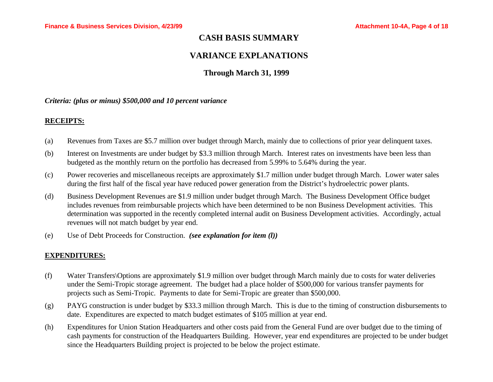## **CASH BASIS SUMMARY**

## **VARIANCE EXPLANATIONS**

## **Through March 31, 1999**

*Criteria: (plus or minus) \$500,000 and 10 percent variance*

### **RECEIPTS:**

- (a) Revenues from Taxes are \$5.7 million over budget through March, mainly due to collections of prior year delinquent taxes.
- (b) Interest on Investments are under budget by \$3.3 million through March. Interest rates on investments have been less than budgeted as the monthly return on the portfolio has decreased from 5.99% to 5.64% during the year.
- (c) Power recoveries and miscellaneous receipts are approximately \$1.7 million under budget through March. Lower water sales during the first half of the fiscal year have reduced power generation from the District's hydroelectric power plants.
- (d) Business Development Revenues are \$1.9 million under budget through March. The Business Development Office budget includes revenues from reimbursable projects which have been determined to be non Business Development activities. This determination was supported in the recently completed internal audit on Business Development activities. Accordingly, actual revenues will not match budget by year end.
- (e) Use of Debt Proceeds for Construction. *(see explanation for item (l))*

### **EXPENDITURES:**

- (f) Water Transfers\Options are approximately \$1.9 million over budget through March mainly due to costs for water deliveries under the Semi-Tropic storage agreement. The budget had a place holder of \$500,000 for various transfer payments for projects such as Semi-Tropic. Payments to date for Semi-Tropic are greater than \$500,000.
- (g) PAYG construction is under budget by \$33.3 million through March. This is due to the timing of construction disbursements to date. Expenditures are expected to match budget estimates of \$105 million at year end.
- (h) Expenditures for Union Station Headquarters and other costs paid from the General Fund are over budget due to the timing of cash payments for construction of the Headquarters Building. However, year end expenditures are projected to be under budget since the Headquarters Building project is projected to be below the project estimate.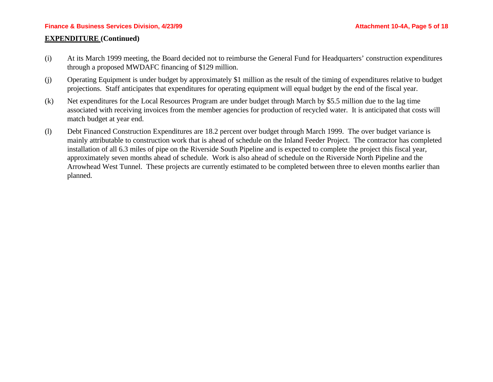#### **Finance & Business Services Division, 4/23/99 Attachment 10-4A, Page 5 of 18**

### **EXPENDITURE (Continued)**

- (i) At its March 1999 meeting, the Board decided not to reimburse the General Fund for Headquarters' construction expenditures through a proposed MWDAFC financing of \$129 million.
- (j) Operating Equipment is under budget by approximately \$1 million as the result of the timing of expenditures relative to budget projections. Staff anticipates that expenditures for operating equipment will equal budget by the end of the fiscal year.
- (k) Net expenditures for the Local Resources Program are under budget through March by \$5.5 million due to the lag time associated with receiving invoices from the member agencies for production of recycled water. It is anticipated that costs will match budget at year end.
- (l) Debt Financed Construction Expenditures are 18.2 percent over budget through March 1999. The over budget variance is mainly attributable to construction work that is ahead of schedule on the Inland Feeder Project. The contractor has completed installation of all 6.3 miles of pipe on the Riverside South Pipeline and is expected to complete the project this fiscal year, approximately seven months ahead of schedule. Work is also ahead of schedule on the Riverside North Pipeline and the Arrowhead West Tunnel. These projects are currently estimated to be completed between three to eleven months earlier than planned.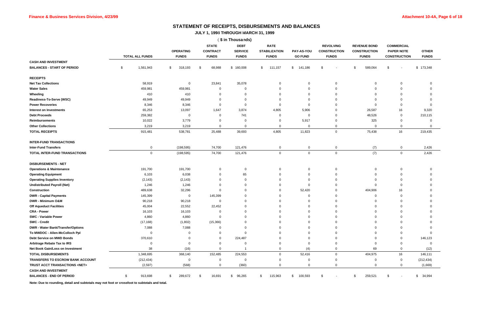## **STATEMENT OF RECEIPTS, DISBURSEMENTS AND BALANCES**

## **JULY 1, 1998 THROUGH MARCH 31, 1999**

|                                          |                        |             |                                  |                                                 | (\$ in Thousands)                             |                                                     |                              |                                                         |                                                            |                                                               |                              |
|------------------------------------------|------------------------|-------------|----------------------------------|-------------------------------------------------|-----------------------------------------------|-----------------------------------------------------|------------------------------|---------------------------------------------------------|------------------------------------------------------------|---------------------------------------------------------------|------------------------------|
|                                          | <b>TOTAL ALL FUNDS</b> |             | <b>OPERATING</b><br><b>FUNDS</b> | <b>STATE</b><br><b>CONTRACT</b><br><b>FUNDS</b> | <b>DEBT</b><br><b>SERVICE</b><br><b>FUNDS</b> | <b>RATE</b><br><b>STABILIZATION</b><br><b>FUNDS</b> | PAY-AS-YOU<br><b>GO FUND</b> | <b>REVOLVING</b><br><b>CONSTRUCTION</b><br><b>FUNDS</b> | <b>REVENUE BOND</b><br><b>CONSTRUCTION</b><br><b>FUNDS</b> | <b>COMMERCIAL</b><br><b>PAPER NOTE</b><br><b>CONSTRUCTION</b> | <b>OTHER</b><br><b>FUNDS</b> |
| <b>CASH AND INVESTMENT</b>               |                        |             |                                  |                                                 |                                               |                                                     |                              |                                                         |                                                            |                                                               |                              |
| <b>BALANCES - START OF PERIOD</b>        | S.                     | 1,561,943   | \$<br>318,193                    | 68,988<br>-\$                                   | \$160,008                                     | 111,157<br>\$                                       | \$ 141,186                   | - \$<br>$\overline{\phantom{a}}$                        | 589,064<br>-\$                                             | S                                                             | \$173,348                    |
| <b>RECEIPTS</b>                          |                        |             |                                  |                                                 |                                               |                                                     |                              |                                                         |                                                            |                                                               |                              |
| <b>Net Tax Collections</b>               |                        | 58,919      | 0                                | 23,841                                          | 35,078                                        | $\overline{0}$                                      | 0                            | $\mathbf 0$                                             | $\mathbf 0$                                                | $\mathbf 0$                                                   | $\Omega$                     |
| <b>Water Sales</b>                       |                        | 459,981     | 459,981                          | 0                                               | 0                                             |                                                     | 0                            | $\Omega$                                                | $\Omega$                                                   |                                                               |                              |
| Wheeling                                 |                        | 410         | 410                              |                                                 | 0                                             |                                                     | 0                            | $\Omega$                                                | $\Omega$                                                   |                                                               |                              |
| Readiness-To-Serve (WSC)                 |                        | 49,949      | 49,949                           |                                                 |                                               |                                                     |                              | $\Omega$                                                | $\Omega$                                                   |                                                               |                              |
| <b>Power Recoveries</b>                  |                        | 8,346       | 8,346                            | $\Omega$                                        | $\mathbf 0$                                   | 0                                                   | 0                            | $\Omega$                                                | $\mathbf 0$                                                | $\Omega$                                                      |                              |
| <b>Interest on Investments</b>           |                        | 65,253      | 13,097                           | 1,647                                           | 3,874                                         | 4,805                                               | 5,906                        | 0                                                       | 26,587                                                     | 16                                                            | 9,320                        |
| <b>Debt Proceeds</b>                     |                        | 259,382     | $\mathbf 0$                      | 0                                               | 741                                           | $\overline{0}$                                      | 0                            | $\mathbf 0$                                             | 48,526                                                     | 0                                                             | 210,115                      |
| <b>Reimbursements</b>                    |                        | 10,022      | 3,779                            | $\Omega$                                        | 0                                             | - 0                                                 | 5,917                        | 0                                                       | 325                                                        | 0                                                             |                              |
| <b>Other Collections</b>                 |                        | 3,219       | 3,219                            | $\Omega$                                        | $\mathbf 0$                                   | $\overline{0}$                                      | 0                            | 0                                                       | $\Omega$                                                   | 0                                                             | $\Omega$                     |
| <b>TOTAL RECEIPTS</b>                    |                        | 915,481     | 538,781                          | 25,488                                          | 39,693                                        | 4,805                                               | 11,823                       | $\mathbf 0$                                             | 75,438                                                     | 16                                                            | 219,435                      |
|                                          |                        |             |                                  |                                                 |                                               |                                                     |                              |                                                         |                                                            |                                                               |                              |
| <b>INTER-FUND TRANSACTIONS</b>           |                        |             |                                  |                                                 |                                               |                                                     |                              |                                                         |                                                            |                                                               |                              |
| <b>Inter-Fund Transfers</b>              |                        | 0           | (198, 595)                       | 74,700                                          | 121,476                                       | $\mathbf 0$                                         | 0                            | $\mathbf 0$                                             | (7)                                                        | 0                                                             | 2,426                        |
| TOTAL INTER-FUND TRANSACTIONS            |                        | $\mathbf 0$ | (198, 595)                       | 74,700                                          | 121,476                                       | $\overline{0}$                                      | $\mathbf 0$                  | $\mathbf 0$                                             | (7)                                                        | $\mathbf 0$                                                   | 2,426                        |
|                                          |                        |             |                                  |                                                 |                                               |                                                     |                              |                                                         |                                                            |                                                               |                              |
| <b>DISBURSEMENTS - NET</b>               |                        |             |                                  |                                                 |                                               |                                                     |                              |                                                         |                                                            |                                                               |                              |
| <b>Operations &amp; Maintenance</b>      |                        | 191,700     | 191,700                          | 0                                               | $\mathbf 0$                                   | $\overline{0}$                                      | 0                            | 0                                                       | 0                                                          | $\mathbf 0$                                                   | $\Omega$                     |
| <b>Operating Equipment</b>               |                        | 6,103       | 6,038                            | $\Omega$                                        | 65                                            |                                                     | 0                            | $\Omega$                                                | $\Omega$                                                   | $\Omega$                                                      |                              |
| <b>Operating Supplies Inventory</b>      |                        | (2, 143)    | (2, 143)                         |                                                 | $\Omega$                                      |                                                     | 0                            | $\Omega$                                                | $\Omega$                                                   | $\Omega$                                                      |                              |
| <b>Undistributed Payroll (Net)</b>       |                        | 1,246       | 1,246                            |                                                 |                                               |                                                     | $\Omega$                     |                                                         | $\Omega$                                                   |                                                               |                              |
| Construction                             |                        | 489,638     | 32,296                           |                                                 |                                               |                                                     | 52,420                       | $\Omega$                                                | 404,906                                                    | 16                                                            |                              |
| <b>DWR - Capital Payments</b>            |                        | 145,399     | 0                                | 145,399                                         | $\Omega$                                      | $\Omega$                                            | 0                            | $\Omega$                                                | $\Omega$                                                   | $\Omega$                                                      |                              |
| <b>DWR - Minimum O&amp;M</b>             |                        | 90,218      | 90,218                           | 0                                               | 0                                             |                                                     | 0                            | $\Omega$                                                | $\Omega$                                                   | $\Omega$                                                      |                              |
| <b>Off Aqueduct Facilities</b>           |                        | 45,004      | 22,552                           | 22,452                                          | $\Omega$                                      |                                                     | 0                            | $\Omega$                                                | $\Omega$                                                   | 0                                                             |                              |
| <b>CRA - Power</b>                       |                        | 16,103      | 16,103                           | 0                                               |                                               |                                                     |                              |                                                         | $\Omega$                                                   |                                                               |                              |
| <b>SWC - Variable Power</b>              |                        | 4,860       | 4,860                            | $\Omega$                                        | $\Omega$                                      | $\Omega$                                            | <sup>0</sup>                 | $\Omega$                                                | $\Omega$                                                   | O                                                             |                              |
| <b>SWC - Credit</b>                      |                        | (17, 168)   | (1,802)                          | (15,366)                                        | $\Omega$                                      | $\Omega$                                            |                              | $\Omega$                                                | $\Omega$                                                   | $\Omega$                                                      |                              |
| <b>DWR - Water Bank/Transfer/Options</b> |                        | 7,088       | 7,088                            |                                                 | $\Omega$                                      |                                                     | 0                            |                                                         | $\Omega$                                                   |                                                               |                              |
| To MWDOC - Allen-McColloch Ppl           |                        | $\Omega$    | $\Omega$                         | $\Omega$                                        | $\Omega$                                      |                                                     |                              |                                                         |                                                            |                                                               |                              |
| <b>Debt Service on MWD Bonds</b>         |                        | 370,610     | 0                                | 0                                               | 224,487                                       |                                                     |                              |                                                         |                                                            |                                                               | 146,123                      |
| <b>Arbitrage Rebate Tax to IRS</b>       |                        | 0           | 0                                | $\Omega$                                        | $\mathbf 0$                                   | 0                                                   |                              | $\Omega$                                                | $\Omega$                                                   | 0                                                             | $\Omega$                     |
| Net Book Gain/Loss on Investment         |                        | 38          | (16)                             | $\Omega$                                        |                                               | $\mathbf 0$                                         | (4)                          | 0                                                       | 69                                                         | 0                                                             | (12)                         |
| <b>TOTAL DISBURSEMENTS</b>               |                        | 1,348,695   | 368,140                          | 152,485                                         | 224,553                                       | $\mathbf 0$                                         | 52,416                       | $\mathbf 0$                                             | 404,975                                                    | 16                                                            | 146,111                      |
| <b>TRANSFERS TO ESCROW BANK ACCOUNT</b>  |                        | (212, 434)  | 0                                | 0                                               | $\mathbf 0$                                   | $\overline{0}$                                      | 0                            | $\mathbf 0$                                             | 0                                                          | $\mathbf 0$                                                   | (212, 434)                   |
| TRUST ACCT TRANSACTIONS <net></net>      |                        | (2, 597)    | (568)                            | $\Omega$                                        | (360)                                         | $\Omega$                                            | 0                            | $\mathbf 0$                                             | $\Omega$                                                   | 0                                                             | (1,669)                      |
| <b>CASH AND INVESTMENT</b>               |                        |             |                                  |                                                 |                                               |                                                     |                              |                                                         |                                                            |                                                               |                              |
| <b>BALANCES - END OF PERIOD</b>          | \$                     | 913,698     | 289,672<br>\$                    | 16,691<br>-\$                                   | \$96,265                                      | 115,963<br>\$                                       | \$ 100,593                   | \$                                                      | 259,521<br>\$                                              | \$                                                            | \$34,994                     |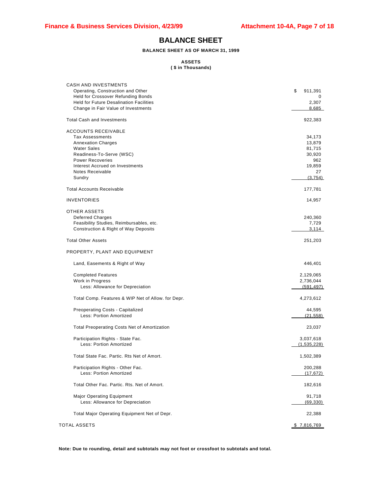#### **BALANCE SHEET**

#### **BALANCE SHEET AS OF MARCH 31, 1999**

#### **ASSETS**

**( \$ in Thousands)**

| <b>CASH AND INVESTMENTS</b><br>Operating, Construction and Other                      | \$<br>911,391    |
|---------------------------------------------------------------------------------------|------------------|
| Held for Crossover Refunding Bonds                                                    | 0                |
| <b>Held for Future Desalination Facilities</b><br>Change in Fair Value of Investments | 2,307<br>8,685   |
| <b>Total Cash and Investments</b>                                                     | 922,383          |
| <b>ACCOUNTS RECEIVABLE</b>                                                            |                  |
| <b>Tax Assessments</b>                                                                | 34,173           |
| <b>Annexation Charges</b><br><b>Water Sales</b>                                       | 13,879<br>81,715 |
| Readiness-To-Serve (WSC)                                                              | 30,920           |
| <b>Power Recoveries</b>                                                               | 962              |
| <b>Interest Accrued on Investments</b>                                                | 19,859           |
| Notes Receivable<br>Sundry                                                            | 27<br>(3,754)    |
| <b>Total Accounts Receivable</b>                                                      | 177,781          |
|                                                                                       |                  |
| <b>INVENTORIES</b>                                                                    | 14,957           |
| <b>OTHER ASSETS</b>                                                                   | 240,360          |
| <b>Deferred Charges</b><br>Feasibility Studies, Reimbursables, etc.                   | 7,729            |
| Construction & Right of Way Deposits                                                  | 3,114            |
| <b>Total Other Assets</b>                                                             | 251,203          |
| PROPERTY, PLANT AND EQUIPMENT                                                         |                  |
| Land, Easements & Right of Way                                                        | 446,401          |
| <b>Completed Features</b>                                                             | 2,129,065        |
| Work in Progress                                                                      | 2,736,044        |
| Less: Allowance for Depreciation                                                      | (591, 497)       |
| Total Comp. Features & WIP Net of Allow. for Depr.                                    | 4,273,612        |
| Preoperating Costs - Capitalized                                                      | 44,595           |
| Less: Portion Amortized                                                               | (21, 558)        |
| <b>Total Preoperating Costs Net of Amortization</b>                                   | 23,037           |
| Participation Rights - State Fac.                                                     | 3,037,618        |
| Less: Portion Amortized                                                               | (1,535,228)      |
| Total State Fac. Partic. Rts Net of Amort.                                            | 1,502,389        |
| Participation Rights - Other Fac.                                                     | 200,288          |
| Less: Portion Amortized                                                               | (17, 672)        |
| Total Other Fac. Partic. Rts. Net of Amort.                                           | 182,616          |
| <b>Major Operating Equipment</b>                                                      | 91,718           |
| Less: Allowance for Depreciation                                                      | (69, 330)        |
| Total Major Operating Equipment Net of Depr.                                          | 22,388           |
| TOTAL ASSETS                                                                          | \$7,816,769      |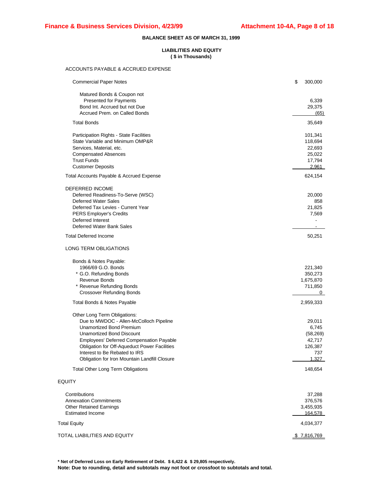#### **BALANCE SHEET AS OF MARCH 31, 1999**

#### **LIABILITIES AND EQUITY ( \$ in Thousands)**

ACCOUNTS PAYABLE & ACCRUED EXPENSE

| <b>Commercial Paper Notes</b>                                                                                                                                                                                                                                                                                                                                            | \$<br>300,000                                                                |
|--------------------------------------------------------------------------------------------------------------------------------------------------------------------------------------------------------------------------------------------------------------------------------------------------------------------------------------------------------------------------|------------------------------------------------------------------------------|
| Matured Bonds & Coupon not<br><b>Presented for Payments</b><br>Bond Int. Accrued but not Due<br>Accrued Prem. on Called Bonds                                                                                                                                                                                                                                            | 6,339<br>29,375<br>(65)                                                      |
| <b>Total Bonds</b>                                                                                                                                                                                                                                                                                                                                                       | 35,649                                                                       |
| Participation Rights - State Facilities<br>State Variable and Minimum OMP&R<br>Services, Material, etc.<br><b>Compensated Absences</b><br><b>Trust Funds</b><br><b>Customer Deposits</b>                                                                                                                                                                                 | 101,341<br>118,694<br>22,693<br>25,022<br>17,794<br>2,961                    |
| Total Accounts Payable & Accrued Expense                                                                                                                                                                                                                                                                                                                                 | 624,154                                                                      |
| DEFERRED INCOME<br>Deferred Readiness-To-Serve (WSC)<br><b>Deferred Water Sales</b><br>Deferred Tax Levies - Current Year<br><b>PERS Employer's Credits</b><br>Deferred Interest<br>Deferred Water Bank Sales                                                                                                                                                            | 20,000<br>858<br>21,825<br>7,569                                             |
| <b>Total Deferred Income</b>                                                                                                                                                                                                                                                                                                                                             | 50,251                                                                       |
| LONG TERM OBLIGATIONS                                                                                                                                                                                                                                                                                                                                                    |                                                                              |
| Bonds & Notes Payable:<br>1966/69 G.O. Bonds<br>* G.O. Refunding Bonds<br>Revenue Bonds<br>* Revenue Refunding Bonds<br><b>Crossover Refunding Bonds</b>                                                                                                                                                                                                                 | 221,340<br>350,273<br>1,675,870<br>711,850<br>0                              |
| Total Bonds & Notes Payable                                                                                                                                                                                                                                                                                                                                              | 2,959,333                                                                    |
| Other Long Term Obligations:<br>Due to MWDOC - Allen-McColloch Pipeline<br><b>Unamortized Bond Premium</b><br>Unamortized Bond Discount<br>Employees' Deferred Compensation Payable<br><b>Obligation for Off-Aqueduct Power Facilities</b><br>Interest to Be Rebated to IRS<br>Obligation for Iron Mountain Landfill Closure<br><b>Total Other Long Term Obligations</b> | 29,011<br>6,745<br>(58, 269)<br>42,717<br>126,387<br>737<br>1.327<br>148,654 |
|                                                                                                                                                                                                                                                                                                                                                                          |                                                                              |
| <b>EQUITY</b>                                                                                                                                                                                                                                                                                                                                                            |                                                                              |
| Contributions<br><b>Annexation Commitments</b><br><b>Other Retained Earnings</b><br><b>Estimated Income</b>                                                                                                                                                                                                                                                              | 37,288<br>376,576<br>3,455,935<br>164,578                                    |
| <b>Total Equity</b>                                                                                                                                                                                                                                                                                                                                                      | 4,034,377                                                                    |
| TOTAL LIABILITIES AND EQUITY                                                                                                                                                                                                                                                                                                                                             | \$7,816,769                                                                  |

**\* Net of Deferred Loss on Early Retirement of Debt. \$ 6,422 & \$ 29,805 respectively.**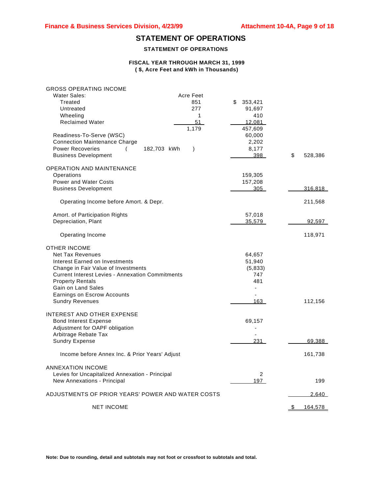## **STATEMENT OF OPERATIONS**

**STATEMENT OF OPERATIONS** 

#### **FISCAL YEAR THROUGH MARCH 31, 1999 ( \$, Acre Feet and kWh in Thousands)**

| <b>GROSS OPERATING INCOME</b>                                                  |                              |                          |               |
|--------------------------------------------------------------------------------|------------------------------|--------------------------|---------------|
| <b>Water Sales:</b>                                                            | Acre Feet                    |                          |               |
| Treated                                                                        | 851                          | \$<br>353,421            |               |
| Untreated                                                                      | 277                          | 91,697                   |               |
| Wheeling                                                                       | 1                            | 410                      |               |
| <b>Reclaimed Water</b>                                                         | 51                           | 12,081                   |               |
|                                                                                | 1,179                        | 457,609                  |               |
| Readiness-To-Serve (WSC)                                                       |                              | 60,000                   |               |
| <b>Connection Maintenance Charge</b>                                           |                              | 2,202                    |               |
| <b>Power Recoveries</b><br>(                                                   | 182,703 kWh<br>$\mathcal{E}$ | 8,177                    |               |
| <b>Business Development</b>                                                    |                              | 398                      | \$<br>528,386 |
| <b>OPERATION AND MAINTENANCE</b>                                               |                              |                          |               |
| Operations                                                                     |                              | 159,305                  |               |
| <b>Power and Water Costs</b>                                                   |                              | 157,208                  |               |
| <b>Business Development</b>                                                    |                              | 305                      | 316,818       |
|                                                                                |                              |                          |               |
| Operating Income before Amort. & Depr.                                         |                              |                          | 211,568       |
| Amort. of Participation Rights                                                 |                              | 57,018                   |               |
| Depreciation, Plant                                                            |                              | 35,579                   | 92,597        |
|                                                                                |                              |                          |               |
| Operating Income                                                               |                              |                          | 118,971       |
| <b>OTHER INCOME</b>                                                            |                              |                          |               |
| <b>Net Tax Revenues</b>                                                        |                              | 64,657                   |               |
| Interest Earned on Investments                                                 |                              | 51,940                   |               |
| Change in Fair Value of Investments                                            |                              | (5,833)                  |               |
| <b>Current Interest Levies - Annexation Commitments</b>                        |                              | 747                      |               |
| <b>Property Rentals</b>                                                        |                              | 481                      |               |
| Gain on Land Sales                                                             |                              | $\overline{\phantom{a}}$ |               |
| Earnings on Escrow Accounts                                                    |                              |                          |               |
| <b>Sundry Revenues</b>                                                         |                              | 163                      | 112,156       |
| INTEREST AND OTHER EXPENSE                                                     |                              |                          |               |
| <b>Bond Interest Expense</b>                                                   |                              | 69,157                   |               |
| Adjustment for OAPF obligation                                                 |                              |                          |               |
| Arbitrage Rebate Tax                                                           |                              |                          |               |
| <b>Sundry Expense</b>                                                          |                              | 231                      | 69,388        |
| Income before Annex Inc. & Prior Years' Adjust                                 |                              |                          | 161,738       |
|                                                                                |                              |                          |               |
| <b>ANNEXATION INCOME</b>                                                       |                              |                          |               |
| Levies for Uncapitalized Annexation - Principal<br>New Annexations - Principal |                              | 2<br>197                 |               |
|                                                                                |                              |                          | 199           |
| ADJUSTMENTS OF PRIOR YEARS' POWER AND WATER COSTS                              |                              |                          | 2,640         |
| <b>NET INCOME</b>                                                              |                              |                          | 164,578       |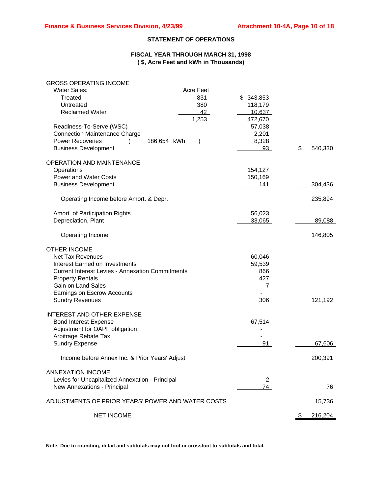#### **STATEMENT OF OPERATIONS**

#### **FISCAL YEAR THROUGH MARCH 31, 1998 ( \$, Acre Feet and kWh in Thousands)**

| <b>GROSS OPERATING INCOME</b>                           |                              |                |               |
|---------------------------------------------------------|------------------------------|----------------|---------------|
| <b>Water Sales:</b>                                     | <b>Acre Feet</b>             |                |               |
| Treated                                                 | 831                          | \$343,853      |               |
| Untreated                                               | 380                          | 118,179        |               |
| <b>Reclaimed Water</b>                                  | 42                           | 10,637         |               |
|                                                         | 1,253                        | 472,670        |               |
| Readiness-To-Serve (WSC)                                |                              | 57,038         |               |
| <b>Connection Maintenance Charge</b>                    |                              | 2,201          |               |
| <b>Power Recoveries</b>                                 | 186,654 kWh<br>$\mathcal{E}$ | 8,328          |               |
| <b>Business Development</b>                             |                              | 93             | \$<br>540,330 |
|                                                         |                              |                |               |
| OPERATION AND MAINTENANCE                               |                              |                |               |
| Operations                                              |                              | 154,127        |               |
| Power and Water Costs                                   |                              | 150,169        |               |
| <b>Business Development</b>                             |                              | 141            | 304,436       |
|                                                         |                              |                |               |
| Operating Income before Amort. & Depr.                  |                              |                | 235,894       |
| Amort. of Participation Rights                          |                              | 56,023         |               |
| Depreciation, Plant                                     |                              | 33,065         | 89,088        |
|                                                         |                              |                |               |
| Operating Income                                        |                              |                | 146,805       |
| <b>OTHER INCOME</b>                                     |                              |                |               |
| <b>Net Tax Revenues</b>                                 |                              | 60,046         |               |
| Interest Earned on Investments                          |                              | 59,539         |               |
|                                                         |                              | 866            |               |
| <b>Current Interest Levies - Annexation Commitments</b> |                              |                |               |
| <b>Property Rentals</b>                                 |                              | 427            |               |
| Gain on Land Sales                                      |                              | 7              |               |
| Earnings on Escrow Accounts                             |                              |                |               |
| <b>Sundry Revenues</b>                                  |                              | 306            | 121,192       |
| <b>INTEREST AND OTHER EXPENSE</b>                       |                              |                |               |
| <b>Bond Interest Expense</b>                            |                              | 67,514         |               |
| Adjustment for OAPF obligation                          |                              |                |               |
| Arbitrage Rebate Tax                                    |                              |                |               |
| <b>Sundry Expense</b>                                   |                              | 91             | 67,606        |
|                                                         |                              |                |               |
| Income before Annex Inc. & Prior Years' Adjust          |                              |                | 200,391       |
| ANNEXATION INCOME                                       |                              |                |               |
| Levies for Uncapitalized Annexation - Principal         |                              | $\overline{2}$ |               |
| New Annexations - Principal                             |                              | 74             | 76            |
| ADJUSTMENTS OF PRIOR YEARS' POWER AND WATER COSTS       |                              |                | 15,736        |
| <b>NET INCOME</b>                                       |                              |                |               |
|                                                         |                              |                | 216,204       |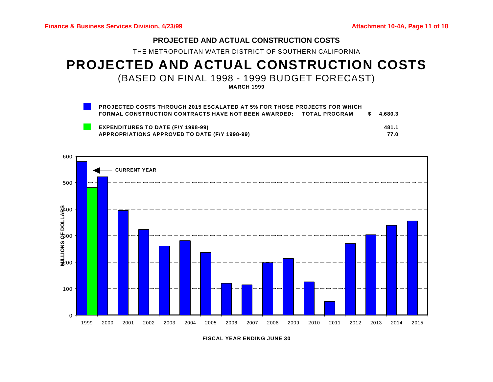## **PROJECTED AND ACTUAL CONSTRUCTION COSTS**

THE METROPOLITAN WATER DISTRICT OF SOUTHERN CALIFORNIA

# **PROJECTED AND ACTUAL CONSTRUCTION COSTS**

(BASED ON FINAL 1998 - 1999 BUDGET FORECAST)

**MARCH 1999**

| <b>PROJECTED COSTS THROUGH 2015 ESCALATED AT 5% FOR THOSE PROJECTS FOR WHICH</b> |    |         |
|----------------------------------------------------------------------------------|----|---------|
| FORMAL CONSTRUCTION CONTRACTS HAVE NOT BEEN AWARDED: TOTAL PROGRAM               | s. | 4.680.3 |
|                                                                                  |    |         |
| <b>EXPENDITURES TO DATE (F/Y 1998-99)</b>                                        |    | 481.1   |
| APPROPRIATIONS APPROVED TO DATE (F/Y 1998-99)                                    |    | 77.O    |



**FISCAL YEAR ENDING JUNE 30**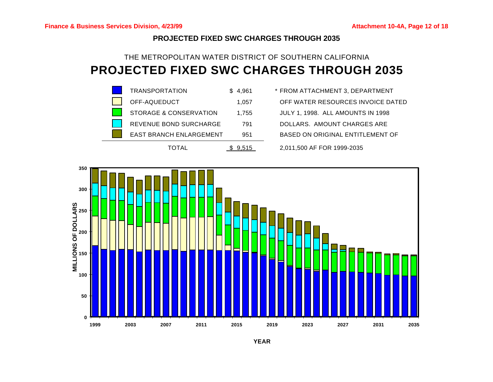## **PROJECTED FIXED SWC CHARGES THROUGH 2035**

## THE METROPOLITAN WATER DISTRICT OF SOUTHERN CALIFORNIA **PROJECTED FIXED SWC CHARGES THROUGH 2035**



OFF-AQUEDUCT 1,057 OFF WATER RESOURCES INVOICE DATED

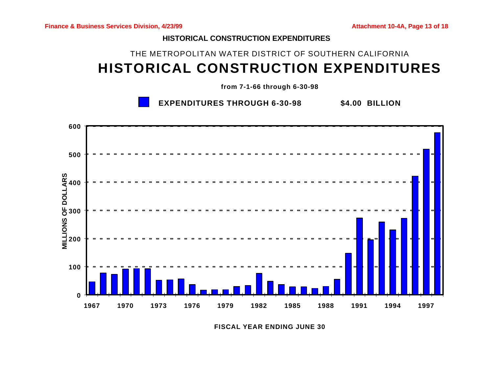## **HISTORICAL CONSTRUCTION EXPENDITURES**

## THE METROPOLITAN WATER DISTRICT OF SOUTHERN CALIFORNIA **HISTORICAL CONSTRUCTION EXPENDITURES**

**from 7-1-66 through 6-30-98**

**EXPENDITURES THROUGH 6-30-98 \$4.00 BILLION**



**FISCAL YEAR ENDING JUNE 30**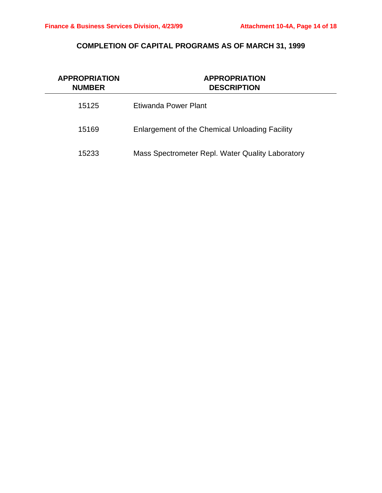## **COMPLETION OF CAPITAL PROGRAMS AS OF MARCH 31, 1999**

| <b>APPROPRIATION</b><br><b>NUMBER</b> | <b>APPROPRIATION</b><br><b>DESCRIPTION</b>       |
|---------------------------------------|--------------------------------------------------|
| 15125                                 | <b>Etiwanda Power Plant</b>                      |
| 15169                                 | Enlargement of the Chemical Unloading Facility   |
| 15233                                 | Mass Spectrometer Repl. Water Quality Laboratory |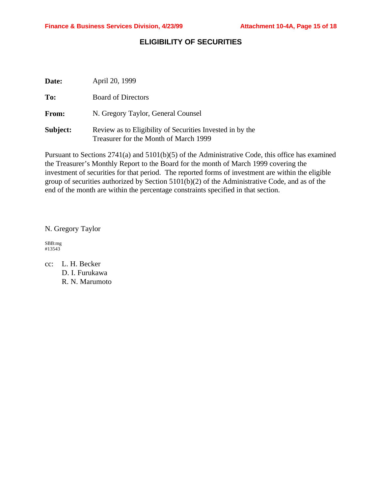## **ELIGIBILITY OF SECURITIES**

| Date:    | April 20, 1999                                                                                     |
|----------|----------------------------------------------------------------------------------------------------|
| To:      | <b>Board of Directors</b>                                                                          |
| From:    | N. Gregory Taylor, General Counsel                                                                 |
| Subject: | Review as to Eligibility of Securities Invested in by the<br>Treasurer for the Month of March 1999 |

Pursuant to Sections 2741(a) and 5101(b)(5) of the Administrative Code, this office has examined the Treasurer's Monthly Report to the Board for the month of March 1999 covering the investment of securities for that period. The reported forms of investment are within the eligible group of securities authorized by Section  $5101(b)(2)$  of the Administrative Code, and as of the end of the month are within the percentage constraints specified in that section.

N. Gregory Taylor

SBB:mg #13543

cc: L. H. Becker D. I. Furukawa R. N. Marumoto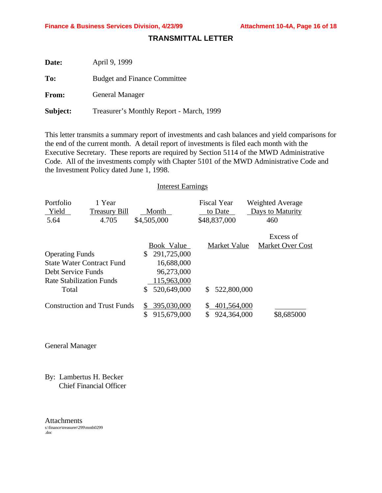## **TRANSMITTAL LETTER**

| Date:        | April 9, 1999                            |
|--------------|------------------------------------------|
| To:          | <b>Budget and Finance Committee</b>      |
| <b>From:</b> | <b>General Manager</b>                   |
| Subject:     | Treasurer's Monthly Report - March, 1999 |

This letter transmits a summary report of investments and cash balances and yield comparisons for the end of the current month. A detail report of investments is filed each month with the Executive Secretary. These reports are required by Section 5114 of the MWD Administrative Code. All of the investments comply with Chapter 5101 of the MWD Administrative Code and the Investment Policy dated June 1, 1998.

#### Interest Earnings

| Portfolio<br>Yield       | 1 Year<br><b>Treasury Bill</b>      | Month             | <b>Fiscal Year</b><br>to Date | <b>Weighted Average</b><br>Days to Maturity |
|--------------------------|-------------------------------------|-------------------|-------------------------------|---------------------------------------------|
| 5.64                     | 4.705                               | \$4,505,000       | \$48,837,000                  | 460                                         |
|                          |                                     |                   |                               | Excess of                                   |
|                          |                                     | Book Value        | Market Value                  | Market Over Cost                            |
| <b>Operating Funds</b>   |                                     | 291,725,000<br>S. |                               |                                             |
|                          | <b>State Water Contract Fund</b>    | 16,688,000        |                               |                                             |
| Debt Service Funds       |                                     | 96,273,000        |                               |                                             |
| Rate Stabilization Funds |                                     | 115,963,000       |                               |                                             |
| Total                    |                                     | 520,649,000<br>\$ | 522,800,000                   |                                             |
|                          | <b>Construction and Trust Funds</b> | 395,030,000       | 401,564,000                   |                                             |
|                          |                                     | \$<br>915,679,000 | 924,364,000                   | \$8,685000                                  |

General Manager

By: Lambertus H. Becker Chief Financial Officer

Attachments s:\finance\treasurer\299\mnth0299 .doc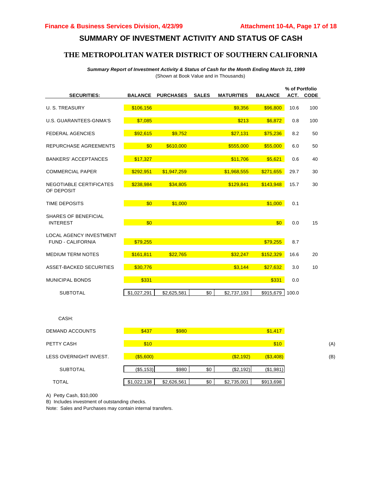## **SUMMARY OF INVESTMENT ACTIVITY AND STATUS OF CASH**

### **THE METROPOLITAN WATER DISTRICT OF SOUTHERN CALIFORNIA**

 *Summary Report of Investment Activity & Status of Cash for the Month Ending March 31, 1999* (Shown at Book Value and in Thousands)

|                                                            |                |                  |              |                   |                | % of Portfolio |           |
|------------------------------------------------------------|----------------|------------------|--------------|-------------------|----------------|----------------|-----------|
| <b>SECURITIES:</b>                                         | <b>BALANCE</b> | <b>PURCHASES</b> | <b>SALES</b> | <b>MATURITIES</b> | <b>BALANCE</b> |                | ACT. CODE |
| U. S. TREASURY                                             | \$106,156      |                  |              | \$9,356           | \$96,800       | 10.6           | 100       |
| U.S. GUARANTEES-GNMA'S                                     | \$7,085        |                  |              | \$213             | \$6,872        | 0.8            | 100       |
| <b>FEDERAL AGENCIES</b>                                    | \$92,615       | \$9,752          |              | \$27,131          | \$75,236       | 8.2            | 50        |
| REPURCHASE AGREEMENTS                                      | \$0            | \$610,000        |              | \$555,000         | \$55,000       | 6.0            | 50        |
| <b>BANKERS' ACCEPTANCES</b>                                | \$17,327       |                  |              | \$11,706          | \$5,621        | 0.6            | 40        |
| <b>COMMERCIAL PAPER</b>                                    | \$292,951      | \$1,947,259      |              | \$1,968,555       | \$271,655      | 29.7           | 30        |
| NEGOTIABLE CERTIFICATES<br>OF DEPOSIT                      | \$238,984      | \$34,805         |              | \$129,841         | \$143,948      | 15.7           | 30        |
| <b>TIME DEPOSITS</b>                                       | \$0            | \$1,000          |              |                   | \$1,000        | 0.1            |           |
| <b>SHARES OF BENEFICIAL</b><br><b>INTEREST</b>             | \$0            |                  |              |                   | \$0            | 0.0            | 15        |
| <b>LOCAL AGENCY INVESTMENT</b><br><b>FUND - CALIFORNIA</b> | \$79,255       |                  |              |                   | \$79,255       | 8.7            |           |
| <b>MEDIUM TERM NOTES</b>                                   | \$161,811      | \$22,765         |              | \$32,247          | \$152,329      | 16.6           | 20        |
| ASSET-BACKED SECURITIES                                    | \$30,776       |                  |              | \$3,144           | \$27,632       | 3.0            | 10        |
| <b>MUNICIPAL BONDS</b>                                     | \$331          |                  |              |                   | \$331          | 0.0            |           |
| <b>SUBTOTAL</b>                                            | \$1,027,291    | \$2,625,581      | \$0          | \$2,737,193       | \$915,679      | 100.0          |           |

| DEMAND ACCOUNTS        | \$437        | \$980       |     |             | \$1,417    |     |
|------------------------|--------------|-------------|-----|-------------|------------|-----|
| PETTY CASH             | \$10         |             |     |             | \$10       | (A) |
| LESS OVERNIGHT INVEST. | (\$5,600)    |             |     | (S2, 192)   | ( \$3,408) | (B) |
| <b>SUBTOTAL</b>        | $($ \$5,153) | \$980       | \$0 | (\$2,192)   | (\$1,981)  |     |
| <b>TOTAL</b>           | \$1,022,138  | \$2,626,561 | \$0 | \$2,735,001 | \$913,698  |     |

A) Petty Cash, \$10,000

CASH:

B) Includes investment of outstanding checks.

Note: Sales and Purchases may contain internal transfers.